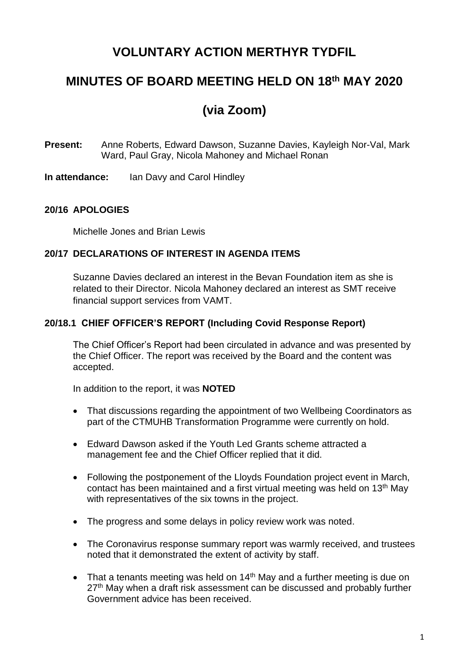# **VOLUNTARY ACTION MERTHYR TYDFIL**

## **MINUTES OF BOARD MEETING HELD ON 18th MAY 2020**

# **(via Zoom)**

**Present:** Anne Roberts, Edward Dawson, Suzanne Davies, Kayleigh Nor-Val, Mark Ward, Paul Gray, Nicola Mahoney and Michael Ronan

**In attendance:** Ian Davy and Carol Hindley

### **20/16 APOLOGIES**

Michelle Jones and Brian Lewis

#### **20/17 DECLARATIONS OF INTEREST IN AGENDA ITEMS**

Suzanne Davies declared an interest in the Bevan Foundation item as she is related to their Director. Nicola Mahoney declared an interest as SMT receive financial support services from VAMT.

### **20/18.1 CHIEF OFFICER'S REPORT (Including Covid Response Report)**

The Chief Officer's Report had been circulated in advance and was presented by the Chief Officer. The report was received by the Board and the content was accepted.

In addition to the report, it was **NOTED**

- That discussions regarding the appointment of two Wellbeing Coordinators as part of the CTMUHB Transformation Programme were currently on hold.
- Edward Dawson asked if the Youth Led Grants scheme attracted a management fee and the Chief Officer replied that it did.
- Following the postponement of the Lloyds Foundation project event in March, contact has been maintained and a first virtual meeting was held on 13th May with representatives of the six towns in the project.
- The progress and some delays in policy review work was noted.
- The Coronavirus response summary report was warmly received, and trustees noted that it demonstrated the extent of activity by staff.
- That a tenants meeting was held on 14<sup>th</sup> May and a further meeting is due on 27<sup>th</sup> May when a draft risk assessment can be discussed and probably further Government advice has been received.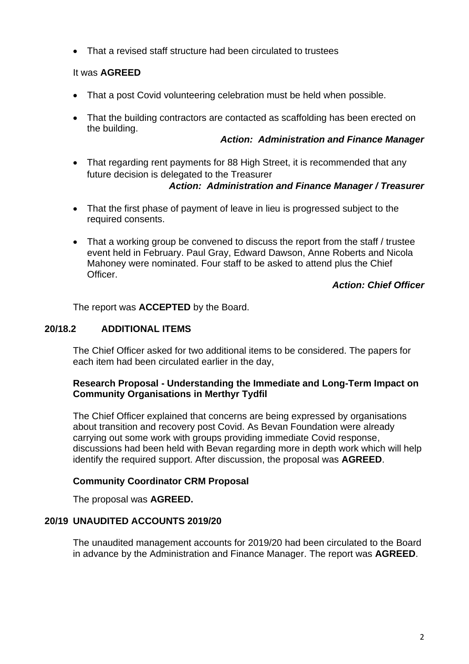• That a revised staff structure had been circulated to trustees

### It was **AGREED**

- That a post Covid volunteering celebration must be held when possible.
- That the building contractors are contacted as scaffolding has been erected on the building.

### *Action: Administration and Finance Manager*

• That regarding rent payments for 88 High Street, it is recommended that any future decision is delegated to the Treasurer

### *Action: Administration and Finance Manager / Treasurer*

- That the first phase of payment of leave in lieu is progressed subject to the required consents.
- That a working group be convened to discuss the report from the staff / trustee event held in February. Paul Gray, Edward Dawson, Anne Roberts and Nicola Mahoney were nominated. Four staff to be asked to attend plus the Chief Officer.

### *Action: Chief Officer*

The report was **ACCEPTED** by the Board.

### **20/18.2 ADDITIONAL ITEMS**

The Chief Officer asked for two additional items to be considered. The papers for each item had been circulated earlier in the day,

### **Research Proposal - Understanding the Immediate and Long-Term Impact on Community Organisations in Merthyr Tydfil**

The Chief Officer explained that concerns are being expressed by organisations about transition and recovery post Covid. As Bevan Foundation were already carrying out some work with groups providing immediate Covid response, discussions had been held with Bevan regarding more in depth work which will help identify the required support. After discussion, the proposal was **AGREED**.

### **Community Coordinator CRM Proposal**

The proposal was **AGREED.**

### **20/19 UNAUDITED ACCOUNTS 2019/20**

The unaudited management accounts for 2019/20 had been circulated to the Board in advance by the Administration and Finance Manager. The report was **AGREED**.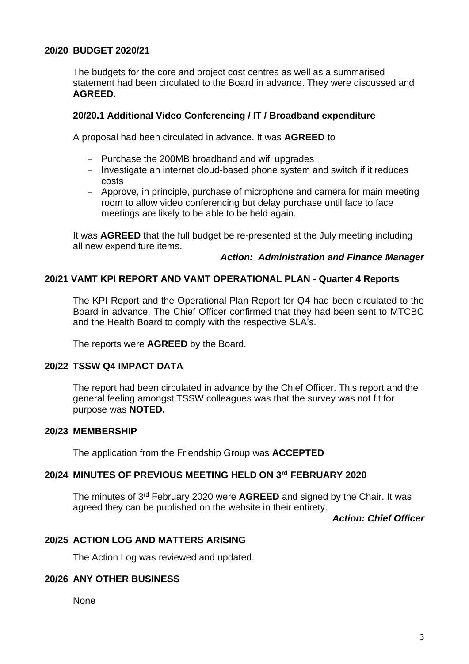### **20/20 BUDGET 2020/21**

The budgets for the core and project cost centres as well as a summarised statement had been circulated to the Board in advance. They were discussed and **AGREED.** 

#### **20/20.1 Additional Video Conferencing / IT / Broadband expenditure**

A proposal had been circulated in advance. It was **AGREED** to

- Purchase the 200MB broadband and wifi upgrades
- Investigate an internet cloud-based phone system and switch if it reduces costs
- Approve, in principle, purchase of microphone and camera for main meeting room to allow video conferencing but delay purchase until face to face meetings are likely to be able to be held again.

It was **AGREED** that the full budget be re-presented at the July meeting including all new expenditure items.

#### *Action: Administration and Finance Manager*

### **20/21 VAMT KPI REPORT AND VAMT OPERATIONAL PLAN - Quarter 4 Reports**

The KPI Report and the Operational Plan Report for Q4 had been circulated to the Board in advance. The Chief Officer confirmed that they had been sent to MTCBC and the Health Board to comply with the respective SLA's.

The reports were **AGREED** by the Board.

#### **20/22 TSSW Q4 IMPACT DATA**

The report had been circulated in advance by the Chief Officer. This report and the general feeling amongst TSSW colleagues was that the survey was not fit for purpose was **NOTED.**

#### **20/23 MEMBERSHIP**

The application from the Friendship Group was **ACCEPTED**

#### **20/24 MINUTES OF PREVIOUS MEETING HELD ON 3 rd FEBRUARY 2020**

The minutes of 3<sup>rd</sup> February 2020 were **AGREED** and signed by the Chair. It was agreed they can be published on the website in their entirety.

*Action: Chief Officer*

### **20/25 ACTION LOG AND MATTERS ARISING**

The Action Log was reviewed and updated.

#### **20/26 ANY OTHER BUSINESS**

None